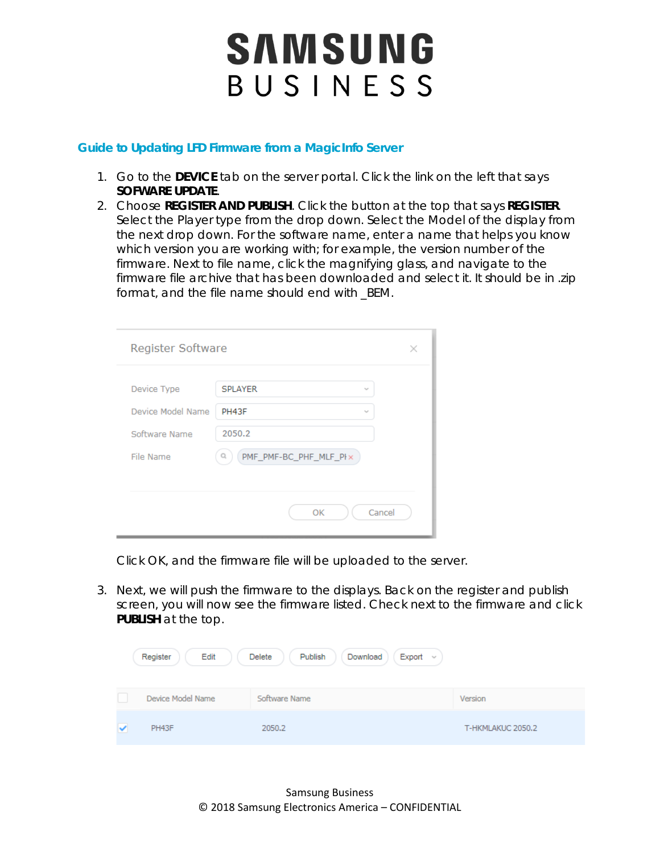## SAMSUNG BUSINESS

## **Guide to Updating LFD Firmware from a MagicInfo Server**

- 1. Go to the **DEVICE** tab on the server portal. Click the link on the left that says **SOFWARE UPDATE**.
- 2. Choose **REGISTER AND PUBLISH**. Click the button at the top that says **REGISTER**. Select the Player type from the drop down. Select the Model of the display from the next drop down. For the software name, enter a name that helps you know which version you are working with; for example, the version number of the firmware. Next to file name, click the magnifying glass, and navigate to the firmware file archive that has been downloaded and select it. It should be in .zip format, and the file name should end with \_BEM.

| Register Software |                                               |        |
|-------------------|-----------------------------------------------|--------|
| Device Type       | <b>SPLAYER</b><br>$\mathcal{L}_{\mathcal{A}}$ |        |
|                   |                                               |        |
| Device Model Name | PH43F<br>$\mathcal{L}_{\mathcal{A}}$          |        |
| Software Name     | 2050.2                                        |        |
| File Name         | PMF_PMF-BC_PHF_MLF_PIx<br>Q                   |        |
|                   |                                               |        |
|                   | OK                                            | Cancel |

Click OK, and the firmware file will be uploaded to the server.

3. Next, we will push the firmware to the displays. Back on the register and publish screen, you will now see the firmware listed. Check next to the firmware and click **PUBLISH** at the top.

| Register<br>Edit  | Export $\sim$<br>Delete<br>Publish<br>Download |                   |
|-------------------|------------------------------------------------|-------------------|
| Device Model Name | Software Name                                  | Version           |
| PH43F             | 2050.2                                         | T-HKMLAKUC 2050.2 |